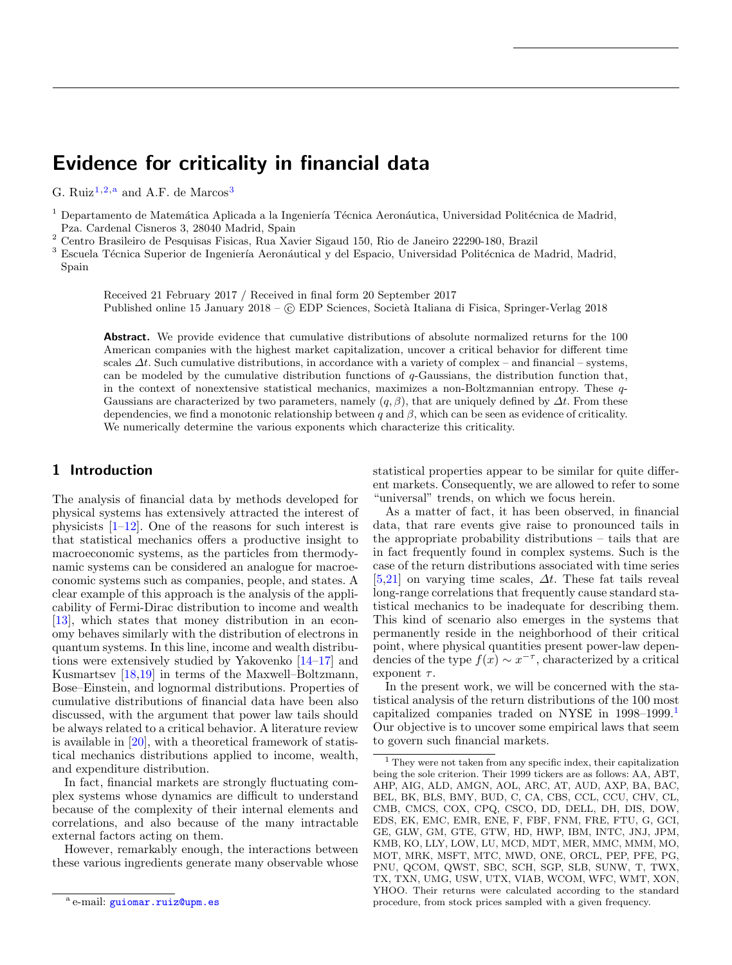# Evidence for criticality in financial data

G. Ruiz<sup>[1](#page-0-0)[,2,](#page-0-1)a</sup> and A.F. de Marcos<sup>[3](#page-0-2)</sup>

<span id="page-0-0"></span><sup>1</sup> Departamento de Matemática Aplicada a la Ingeniería Técnica Aeronáutica, Universidad Politécnica de Madrid, Pza. Cardenal Cisneros 3, 28040 Madrid, Spain

<span id="page-0-1"></span><sup>2</sup> Centro Brasileiro de Pesquisas Fisicas, Rua Xavier Sigaud 150, Rio de Janeiro 22290-180, Brazil

<span id="page-0-2"></span><sup>3</sup> Escuela Técnica Superior de Ingeniería Aeronáutical y del Espacio, Universidad Politécnica de Madrid, Madrid, Spain

Received 21 February 2017 / Received in final form 20 September 2017 Published online 15 January 2018 – © EDP Sciences, Società Italiana di Fisica, Springer-Verlag 2018

Abstract. We provide evidence that cumulative distributions of absolute normalized returns for the 100 American companies with the highest market capitalization, uncover a critical behavior for different time scales  $\Delta t$ . Such cumulative distributions, in accordance with a variety of complex – and financial – systems, can be modeled by the cumulative distribution functions of q-Gaussians, the distribution function that, in the context of nonextensive statistical mechanics, maximizes a non-Boltzmannian entropy. These q-Gaussians are characterized by two parameters, namely  $(q, \beta)$ , that are uniquely defined by  $\Delta t$ . From these dependencies, we find a monotonic relationship between q and  $\beta$ , which can be seen as evidence of criticality. We numerically determine the various exponents which characterize this criticality.

# 1 Introduction

The analysis of financial data by methods developed for physical systems has extensively attracted the interest of physicists  $[1-12]$  $[1-12]$ . One of the reasons for such interest is that statistical mechanics offers a productive insight to macroeconomic systems, as the particles from thermodynamic systems can be considered an analogue for macroeconomic systems such as companies, people, and states. A clear example of this approach is the analysis of the applicability of Fermi-Dirac distribution to income and wealth [\[13\]](#page-3-2), which states that money distribution in an economy behaves similarly with the distribution of electrons in quantum systems. In this line, income and wealth distributions were extensively studied by Yakovenko [\[14](#page-3-3)[–17\]](#page-3-4) and Kusmartsev [\[18](#page-4-0)[,19\]](#page-4-1) in terms of the Maxwell–Boltzmann, Bose–Einstein, and lognormal distributions. Properties of cumulative distributions of financial data have been also discussed, with the argument that power law tails should be always related to a critical behavior. A literature review is available in [\[20\]](#page-4-2), with a theoretical framework of statistical mechanics distributions applied to income, wealth, and expenditure distribution.

In fact, financial markets are strongly fluctuating complex systems whose dynamics are difficult to understand because of the complexity of their internal elements and correlations, and also because of the many intractable external factors acting on them.

However, remarkably enough, the interactions between these various ingredients generate many observable whose statistical properties appear to be similar for quite different markets. Consequently, we are allowed to refer to some "universal" trends, on which we focus herein.

As a matter of fact, it has been observed, in financial data, that rare events give raise to pronounced tails in the appropriate probability distributions – tails that are in fact frequently found in complex systems. Such is the case of the return distributions associated with time series [\[5](#page-3-5)[,21\]](#page-4-3) on varying time scales,  $\Delta t$ . These fat tails reveal long-range correlations that frequently cause standard statistical mechanics to be inadequate for describing them. This kind of scenario also emerges in the systems that permanently reside in the neighborhood of their critical point, where physical quantities present power-law dependencies of the type  $f(x) \sim x^{-\tau}$ , characterized by a critical exponent  $\tau$ .

In the present work, we will be concerned with the statistical analysis of the return distributions of the 100 most capitalized companies traded on NYSE in 1998–1999.[1](#page-0-3) Our objective is to uncover some empirical laws that seem to govern such financial markets.

<sup>&</sup>lt;sup>a</sup> e-mail: [guiomar.ruiz@upm.es](mailto:guiomar.ruiz@upm.es)

<span id="page-0-3"></span><sup>1</sup> They were not taken from any specific index, their capitalization being the sole criterion. Their 1999 tickers are as follows: AA, ABT, AHP, AIG, ALD, AMGN, AOL, ARC, AT, AUD, AXP, BA, BAC, BEL, BK, BLS, BMY, BUD, C, CA, CBS, CCL, CCU, CHV, CL, CMB, CMCS, COX, CPQ, CSCO, DD, DELL, DH, DIS, DOW, EDS, EK, EMC, EMR, ENE, F, FBF, FNM, FRE, FTU, G, GCI, GE, GLW, GM, GTE, GTW, HD, HWP, IBM, INTC, JNJ, JPM, KMB, KO, LLY, LOW, LU, MCD, MDT, MER, MMC, MMM, MO, MOT, MRK, MSFT, MTC, MWD, ONE, ORCL, PEP, PFE, PG, PNU, QCOM, QWST, SBC, SCH, SGP, SLB, SUNW, T, TWX, TX, TXN, UMG, USW, UTX, VIAB, WCOM, WFC, WMT, XON, YHOO. Their returns were calculated according to the standard procedure, from stock prices sampled with a given frequency.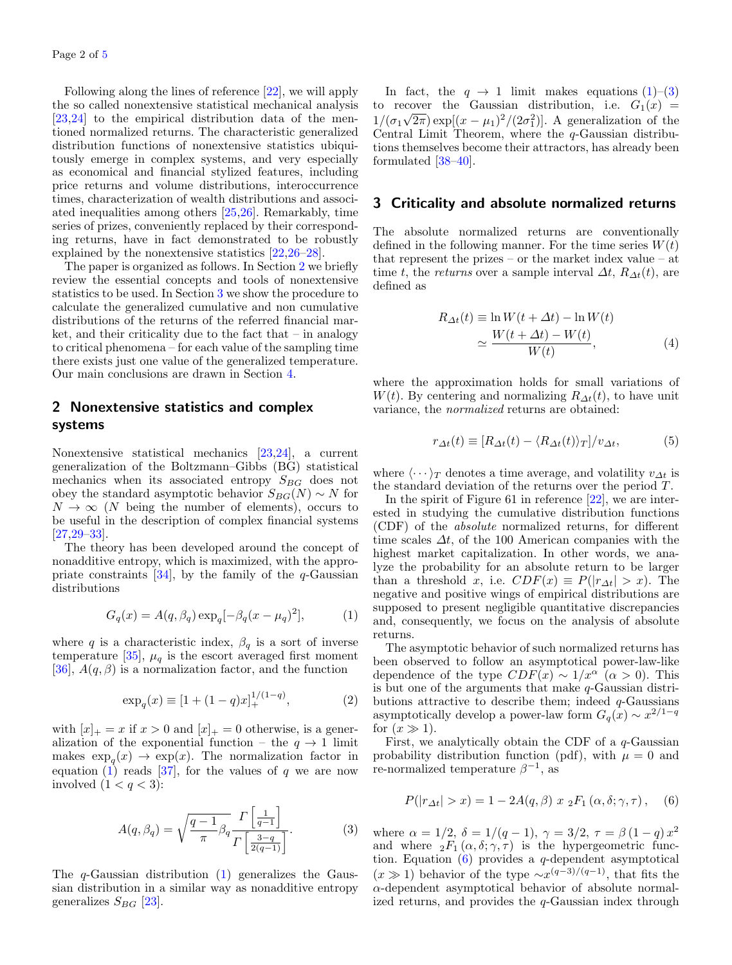Following along the lines of reference [\[22\]](#page-4-4), we will apply the so called nonextensive statistical mechanical analysis [\[23,](#page-4-5)[24\]](#page-4-6) to the empirical distribution data of the mentioned normalized returns. The characteristic generalized distribution functions of nonextensive statistics ubiquitously emerge in complex systems, and very especially as economical and financial stylized features, including price returns and volume distributions, interoccurrence times, characterization of wealth distributions and associated inequalities among others [\[25](#page-4-7)[,26\]](#page-4-8). Remarkably, time series of prizes, conveniently replaced by their corresponding returns, have in fact demonstrated to be robustly explained by the nonextensive statistics [\[22,](#page-4-4)[26–](#page-4-8)[28\]](#page-4-9).

The paper is organized as follows. In Section [2](#page-1-0) we briefly review the essential concepts and tools of nonextensive statistics to be used. In Section [3](#page-1-1) we show the procedure to calculate the generalized cumulative and non cumulative distributions of the returns of the referred financial market, and their criticality due to the fact that – in analogy to critical phenomena – for each value of the sampling time there exists just one value of the generalized temperature. Our main conclusions are drawn in Section [4.](#page-3-7)

# <span id="page-1-0"></span>2 Nonextensive statistics and complex systems

Nonextensive statistical mechanics [\[23](#page-4-5)[,24\]](#page-4-6), a current generalization of the Boltzmann–Gibbs (BG) statistical mechanics when its associated entropy  $S_{BG}$  does not obey the standard asymptotic behavior  $S_{BG}(N) \sim N$  for  $N \to \infty$  (N being the number of elements), occurs to be useful in the description of complex financial systems [\[27,](#page-4-10)[29](#page-4-11)[–33\]](#page-4-12).

The theory has been developed around the concept of nonadditive entropy, which is maximized, with the appropriate constraints  $[34]$ , by the family of the q-Gaussian distributions

<span id="page-1-2"></span>
$$
G_q(x) = A(q, \beta_q) \exp_q[-\beta_q(x - \mu_q)^2],
$$
 (1)

where q is a characteristic index,  $\beta_q$  is a sort of inverse temperature [\[35\]](#page-4-14),  $\mu_q$  is the escort averaged first moment [\[36\]](#page-4-15),  $A(q, \beta)$  is a normalization factor, and the function

$$
\exp_q(x) \equiv [1 + (1 - q)x]_+^{1/(1-q)},\tag{2}
$$

with  $[x]_+ = x$  if  $x > 0$  and  $[x]_+ = 0$  otherwise, is a generalization of the exponential function – the  $q \to 1$  limit makes  $\exp_q(x) \to \exp(x)$ . The normalization factor in equation  $(1)$  reads  $[37]$ , for the values of q we are now involved  $(1 < q < 3)$ :

<span id="page-1-3"></span>
$$
A(q, \beta_q) = \sqrt{\frac{q-1}{\pi} \beta_q} \frac{\Gamma\left[\frac{1}{q-1}\right]}{\Gamma\left[\frac{3-q}{2(q-1)}\right]}.
$$
 (3)

The  $q$ -Gaussian distribution  $(1)$  generalizes the Gaussian distribution in a similar way as nonadditive entropy generalizes  $S_{BG}$  [\[23\]](#page-4-5).

In fact, the  $q \to 1$  limit makes equations  $(1)$ – $(3)$ to recover the Gaussian distribution, i.e.  $G_1(x) =$  $1/(\sigma_1\sqrt{2\pi}) \exp[(x-\mu_1)^2/(2\sigma_1^2)]$ . A generalization of the Central Limit Theorem, where the q-Gaussian distributions themselves become their attractors, has already been formulated [\[38](#page-4-17)[–40\]](#page-4-18).

#### <span id="page-1-1"></span>3 Criticality and absolute normalized returns

The absolute normalized returns are conventionally defined in the following manner. For the time series  $W(t)$ that represent the prizes – or the market index value – at time t, the returns over a sample interval  $\Delta t$ ,  $R_{\Delta t}(t)$ , are defined as

$$
R_{\Delta t}(t) \equiv \ln W(t + \Delta t) - \ln W(t)
$$
  
\n
$$
\simeq \frac{W(t + \Delta t) - W(t)}{W(t)},
$$
\n(4)

where the approximation holds for small variations of W(t). By centering and normalizing  $R_{\Delta t}(t)$ , to have unit variance, the normalized returns are obtained:

$$
r_{\Delta t}(t) \equiv [R_{\Delta t}(t) - \langle R_{\Delta t}(t) \rangle_T]/v_{\Delta t}, \tag{5}
$$

where  $\langle \cdots \rangle_T$  denotes a time average, and volatility  $v_{\Delta t}$  is the standard deviation of the returns over the period T.

In the spirit of Figure 61 in reference [\[22\]](#page-4-4), we are interested in studying the cumulative distribution functions (CDF) of the absolute normalized returns, for different time scales  $\Delta t$ , of the 100 American companies with the highest market capitalization. In other words, we analyze the probability for an absolute return to be larger than a threshold x, i.e.  $CDF(x) \equiv P(|r_{\Delta t}| > x)$ . The negative and positive wings of empirical distributions are supposed to present negligible quantitative discrepancies and, consequently, we focus on the analysis of absolute returns.

The asymptotic behavior of such normalized returns has been observed to follow an asymptotical power-law-like dependence of the type  $CDF(x) \sim 1/x^{\alpha}$  ( $\alpha > 0$ ). This is but one of the arguments that make q-Gaussian distributions attractive to describe them; indeed  $q$ -Gaussians asymptotically develop a power-law form  $G_q(x) \sim x^{2/1-q}$ for  $(x \gg 1)$ .

First, we analytically obtain the CDF of a  $q$ -Gaussian probability distribution function (pdf), with  $\mu = 0$  and re-normalized temperature  $\beta^{-1}$ , as

<span id="page-1-5"></span><span id="page-1-4"></span>
$$
P(|r_{\Delta t}| > x) = 1 - 2A(q, \beta) x \, {}_{2}F_{1}(\alpha, \delta; \gamma, \tau), \quad (6)
$$

where  $\alpha = 1/2, \delta = 1/(q-1), \gamma = 3/2, \tau = \beta (1-q) x^2$ and where  ${}_2F_1(\alpha,\delta;\gamma,\tau)$  is the hypergeometric function. Equation  $(6)$  provides a q-dependent asymptotical  $(x \gg 1)$  behavior of the type  $\sim x^{(q-3)/(q-1)}$ , that fits the  $\alpha$ -dependent asymptotical behavior of absolute normalized returns, and provides the  $q$ -Gaussian index through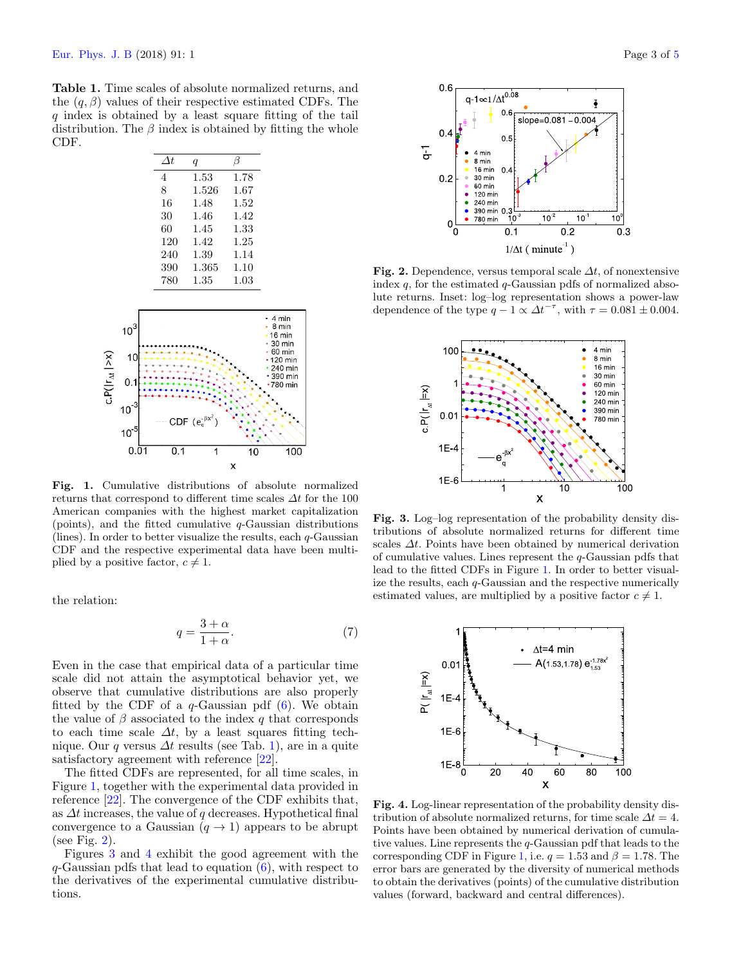<span id="page-2-0"></span>Table 1. Time scales of absolute normalized returns, and the  $(q, \beta)$  values of their respective estimated CDFs. The q index is obtained by a least square fitting of the tail distribution. The  $\beta$  index is obtained by fitting the whole CDF.

| $\Delta t$ | $\boldsymbol{q}$ |          |
|------------|------------------|----------|
| 4          | 1.53             | 1.78     |
| 8          | 1.526            | 1.67     |
| 16         | 1.48             | $1.52\,$ |
| 30         | 1.46             | 1.42     |
| 60         | 1.45             | $1.33\,$ |
| 120        | 1.42             | 1.25     |
| 240        | 1.39             | 1.14     |
| 390        | 1.365            | $1.10\,$ |
| 780        | 1.35             | $1.03\,$ |



<span id="page-2-1"></span>Fig. 1. Cumulative distributions of absolute normalized returns that correspond to different time scales  $\Delta t$  for the 100 American companies with the highest market capitalization (points), and the fitted cumulative  $q$ -Gaussian distributions (lines). In order to better visualize the results, each  $q$ -Gaussian CDF and the respective experimental data have been multiplied by a positive factor,  $c \neq 1$ .

the relation:

$$
q = \frac{3+\alpha}{1+\alpha}.\tag{7}
$$

Even in the case that empirical data of a particular time scale did not attain the asymptotical behavior yet, we observe that cumulative distributions are also properly fitted by the CDF of a  $q$ -Gaussian pdf  $(6)$ . We obtain the value of  $\beta$  associated to the index q that corresponds to each time scale  $\Delta t$ , by a least squares fitting technique. Our q versus  $\Delta t$  results (see Tab. [1\)](#page-2-0), are in a quite satisfactory agreement with reference [\[22\]](#page-4-19).

The fitted CDFs are represented, for all time scales, in Figure [1,](#page-2-1) together with the experimental data provided in reference [\[22\]](#page-4-19). The convergence of the CDF exhibits that, as  $\Delta t$  increases, the value of q decreases. Hypothetical final convergence to a Gaussian  $(q \rightarrow 1)$  appears to be abrupt (see Fig.  $2$ ).

Figures [3](#page-2-3) and [4](#page-2-4) exhibit the good agreement with the  $q$ -Gaussian pdfs that lead to equation  $(6)$ , with respect to the derivatives of the experimental cumulative distributions.



<span id="page-2-2"></span>Fig. 2. Dependence, versus temporal scale  $\Delta t$ , of nonextensive index  $q$ , for the estimated  $q$ -Gaussian pdfs of normalized absolute returns. Inset: log–log representation shows a power-law dependence of the type  $q - 1 \propto \Delta t^{-\tau}$ , with  $\tau = 0.081 \pm 0.004$ .



<span id="page-2-3"></span>Fig. 3. Log–log representation of the probability density distributions of absolute normalized returns for different time scales  $\Delta t$ . Points have been obtained by numerical derivation of cumulative values. Lines represent the  $q$ -Gaussian pdfs that lead to the fitted CDFs in Figure [1.](#page-2-1) In order to better visualize the results, each q-Gaussian and the respective numerically estimated values, are multiplied by a positive factor  $c \neq 1$ .



<span id="page-2-4"></span>Fig. 4. Log-linear representation of the probability density distribution of absolute normalized returns, for time scale  $\Delta t = 4$ . Points have been obtained by numerical derivation of cumulative values. Line represents the q-Gaussian pdf that leads to the corresponding CDF in Figure [1,](#page-2-1) i.e.  $q = 1.53$  and  $\beta = 1.78$ . The error bars are generated by the diversity of numerical methods to obtain the derivatives (points) of the cumulative distribution values (forward, backward and central differences).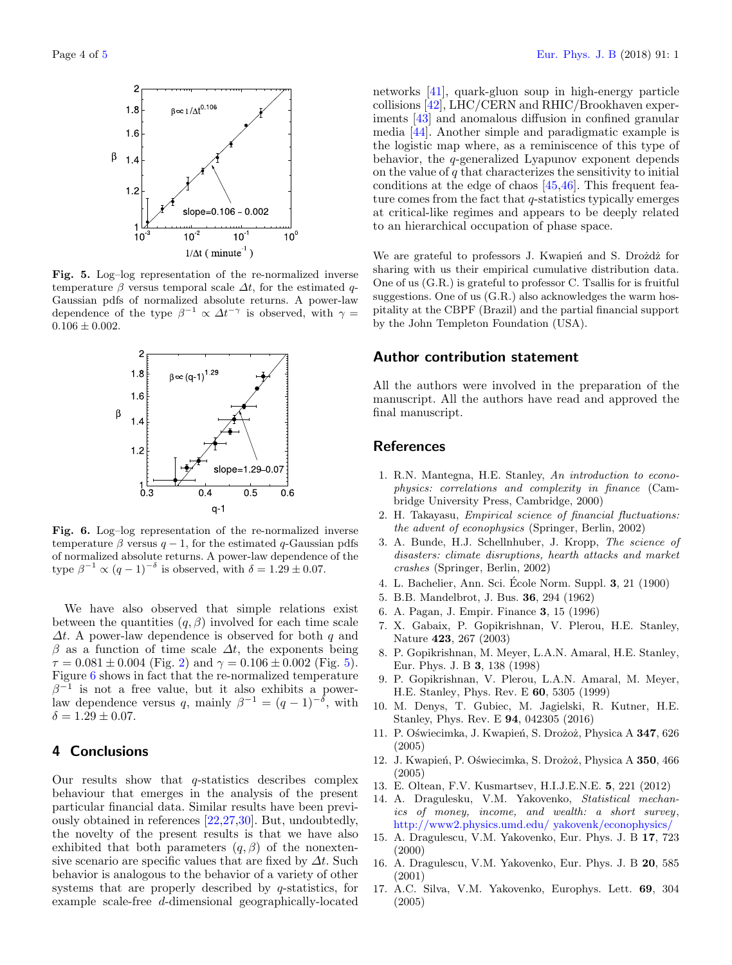

<span id="page-3-9"></span>Fig. 5. Log–log representation of the re-normalized inverse temperature  $\beta$  versus temporal scale  $\Delta t$ , for the estimated q-Gaussian pdfs of normalized absolute returns. A power-law dependence of the type  $\beta^{-1} \propto \Delta t^{-\gamma}$  is observed, with  $\gamma =$  $0.106 \pm 0.002$ .



<span id="page-3-10"></span>Fig. 6. Log–log representation of the re-normalized inverse temperature  $\beta$  versus  $q-1$ , for the estimated q-Gaussian pdfs of normalized absolute returns. A power-law dependence of the type  $\beta^{-1} \propto (q-1)^{-\delta}$  is observed, with  $\delta = 1.29 \pm 0.07$ .

We have also observed that simple relations exist between the quantities  $(q, \beta)$  involved for each time scale  $\Delta t$ . A power-law dependence is observed for both q and  $\beta$  as a function of time scale  $\Delta t$ , the exponents being  $\tau = 0.081 \pm 0.004$  (Fig. [2\)](#page-2-2) and  $\gamma = 0.106 \pm 0.002$  (Fig. [5\)](#page-3-9). Figure [6](#page-3-10) shows in fact that the re-normalized temperature  $\beta^{-1}$  is not a free value, but it also exhibits a powerlaw dependence versus q, mainly  $\beta^{-1} = (q-1)^{-\delta}$ , with  $\delta = 1.29 \pm 0.07$ .

### <span id="page-3-7"></span>4 Conclusions

Our results show that  $q$ -statistics describes complex behaviour that emerges in the analysis of the present particular financial data. Similar results have been previously obtained in references [\[22,](#page-4-19)[27](#page-4-20)[,30\]](#page-4-21). But, undoubtedly, the novelty of the present results is that we have also exhibited that both parameters  $(q, \beta)$  of the nonextensive scenario are specific values that are fixed by  $\Delta t$ . Such behavior is analogous to the behavior of a variety of other systems that are properly described by q-statistics, for example scale-free d-dimensional geographically-located networks [\[41\]](#page-4-22), quark-gluon soup in high-energy particle collisions [\[42\]](#page-4-23), LHC/CERN and RHIC/Brookhaven experiments [\[43\]](#page-4-24) and anomalous diffusion in confined granular media [\[44\]](#page-4-25). Another simple and paradigmatic example is the logistic map where, as a reminiscence of this type of behavior, the q-generalized Lyapunov exponent depends on the value of  $q$  that characterizes the sensitivity to initial conditions at the edge of chaos [\[45,](#page-4-26)[46\]](#page-4-27). This frequent feature comes from the fact that q-statistics typically emerges at critical-like regimes and appears to be deeply related to an hierarchical occupation of phase space.

We are grateful to professors J. Kwapień and S. Drożdż for sharing with us their empirical cumulative distribution data. One of us (G.R.) is grateful to professor C. Tsallis for is fruitful suggestions. One of us (G.R.) also acknowledges the warm hospitality at the CBPF (Brazil) and the partial financial support by the John Templeton Foundation (USA).

## Author contribution statement

All the authors were involved in the preparation of the manuscript. All the authors have read and approved the final manuscript.

## <span id="page-3-11"></span><span id="page-3-8"></span><span id="page-3-6"></span><span id="page-3-0"></span>**References**

- 1. R.N. Mantegna, H.E. Stanley, An introduction to econophysics: correlations and complexity in finance (Cambridge University Press, Cambridge, 2000)
- 2. H. Takayasu, Empirical science of financial fluctuations: the advent of econophysics (Springer, Berlin, 2002)
- 3. A. Bunde, H.J. Schellnhuber, J. Kropp, The science of disasters: climate disruptions, hearth attacks and market crashes (Springer, Berlin, 2002)
- <span id="page-3-5"></span>4. L. Bachelier, Ann. Sci. École Norm. Suppl. **3**, 21 (1900)
- 5. B.B. Mandelbrot, J. Bus. 36, 294 (1962)
- 6. A. Pagan, J. Empir. Finance 3, 15 (1996)
- 7. X. Gabaix, P. Gopikrishnan, V. Plerou, H.E. Stanley, Nature 423, 267 (2003)
- 8. P. Gopikrishnan, M. Meyer, L.A.N. Amaral, H.E. Stanley, Eur. Phys. J. B 3, 138 (1998)
- 9. P. Gopikrishnan, V. Plerou, L.A.N. Amaral, M. Meyer, H.E. Stanley, Phys. Rev. E 60, 5305 (1999)
- 10. M. Denys, T. Gubiec, M. Jagielski, R. Kutner, H.E. Stanley, Phys. Rev. E 94, 042305 (2016)
- <span id="page-3-1"></span>11. P. Oświecimka, J. Kwapień, S. Drożoż, Physica A 347, 626 (2005)
- <span id="page-3-3"></span><span id="page-3-2"></span>12. J. Kwapień, P. Oświecimka, S. Drożoż, Physica A 350, 466 (2005)
- 13. E. Oltean, F.V. Kusmartsev, H.I.J.E.N.E. 5, 221 (2012)
- 14. A. Dragulesku, V.M. Yakovenko, Statistical mechanics of money, income, and wealth: a short survey, [http://www2.physics.umd.edu/ yakovenk/econophysics/](http://www2.physics.umd.edu/~yakovenk/econophysics/)
- 15. A. Dragulescu, V.M. Yakovenko, Eur. Phys. J. B 17, 723 (2000)
- <span id="page-3-4"></span>16. A. Dragulescu, V.M. Yakovenko, Eur. Phys. J. B 20, 585 (2001)
- 17. A.C. Silva, V.M. Yakovenko, Europhys. Lett. 69, 304 (2005)